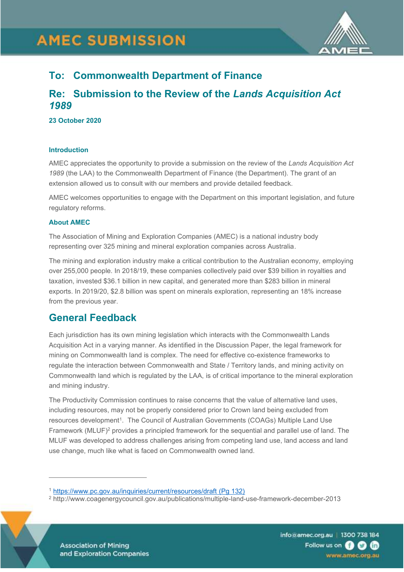# **AMEC SUBMISSION**



# **To: Commonwealth Department of Finance**

# **Re: Submission to the Review of the** *Lands Acquisition Act 1989*

#### **23 October 2020**

#### **Introduction**

AMEC appreciates the opportunity to provide a submission on the review of the *Lands Acquisition Act 1989* (the LAA) to the Commonwealth Department of Finance (the Department). The grant of an extension allowed us to consult with our members and provide detailed feedback.

AMEC welcomes opportunities to engage with the Department on this important legislation, and future regulatory reforms.

## **About AMEC**

The Association of Mining and Exploration Companies (AMEC) is a national industry body representing over 325 mining and mineral exploration companies across Australia.

The mining and exploration industry make a critical contribution to the Australian economy, employing over 255,000 people. In 2018/19, these companies collectively paid over \$39 billion in royalties and taxation, invested \$36.1 billion in new capital, and generated more than \$283 billion in mineral exports. In 2019/20, \$2.8 billion was spent on minerals exploration, representing an 18% increase from the previous year.

# **General Feedback**

Each jurisdiction has its own mining legislation which interacts with the Commonwealth Lands Acquisition Act in a varying manner. As identified in the Discussion Paper, the legal framework for mining on Commonwealth land is complex. The need for effective co-existence frameworks to regulate the interaction between Commonwealth and State / Territory lands, and mining activity on Commonwealth land which is regulated by the LAA, is of critical importance to the mineral exploration and mining industry.

The Productivity Commission continues to raise concerns that the value of alternative land uses, including resources, may not be properly considered prior to Crown land being excluded from resources development<sup>1</sup>. The Council of Australian Governments (COAGs) Multiple Land Use Framework  $(MLUF)^2$  provides a principled framework for the sequential and parallel use of land. The MLUF was developed to address challenges arising from competing land use, land access and land use change, much like what is faced on Commonwealth owned land.

<sup>2</sup> http://www.coagenergycouncil.gov.au/publications/multiple-land-use-framework-december-2013



**Association of Mining** and Exploration Companies info@amec.org.au | 1300 738 184 Follow us on **8 0 m** www.amec.org.au

<sup>1</sup> <https://www.pc.gov.au/inquiries/current/resources/draft> (Pg 132)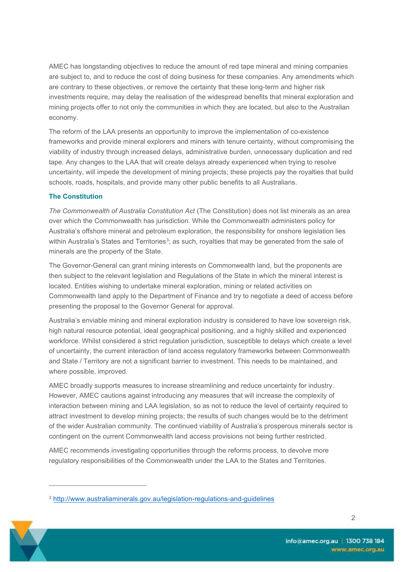AMEC has longstanding objectives to reduce the amount of red tape mineral and mining companies are subject to, and to reduce the cost of doing business for these companies. Any amendments which are contrary to these objectives, or remove the certainty that these long-term and higher risk investments require, may delay the realisation of the widespread benefits that mineral exploration and mining projects offer to not only the communities in which they are located, but also to the Australian economy.

The reform of the LAA presents an opportunity to improve the implementation of co-existence frameworks and provide mineral explorers and miners with tenure certainty, without compromising the viability of industry through increased delays, administrative burden, unnecessary duplication and red tape. Any changes to the LAA that will create delays already experienced when trying to resolve uncertainty, will impede the development of mining projects; these projects pay the royalties that build schools, roads, hospitals, and provide many other public benefits to all Australians.

## **The Constitution**

*The Commonwealth of Australia Constitution Act* (The Constitution) does not list minerals as an area over which the Commonwealth has jurisdiction. While the Commonwealth administers policy for Australia's offshore mineral and petroleum exploration, the responsibility for onshore legislation lies within Australia's States and Territories $^3$ ; as such, royalties that may be generated from the sale of minerals are the property of the State.

The Governor-General can grant mining interests on Commonwealth land, but the proponents are then subject to the relevant legislation and Regulations of the State in which the mineral interest is located. Entities wishing to undertake mineral exploration, mining or related activities on Commonwealth land apply to the Department of Finance and try to negotiate a deed of access before presenting the proposal to the Governor General for approval.

Australia's enviable mining and mineral exploration industry is considered to have low sovereign risk, high natural resource potential, ideal geographical positioning, and a highly skilled and experienced workforce. Whilst considered a strict regulation jurisdiction, susceptible to delays which create a level of uncertainty, the current interaction of land access regulatory frameworks between Commonwealth and State / Territory are not a significant barrier to investment. This needs to be maintained, and where possible, improved.

AMEC broadly supports measures to increase streamlining and reduce uncertainty for industry. However, AMEC cautions against introducing any measures that will increase the complexity of interaction between mining and LAA legislation, so as not to reduce the level of certainty required to attract investment to develop mining projects; the results of such changes would be to the detriment of the wider Australian community. The continued viability of Australia's prosperous minerals sector is contingent on the current Commonwealth land access provisions not being further restricted.

AMEC recommends investigating opportunities through the reforms process, to devolve more regulatory responsibilities of the Commonwealth under the LAA to the States and Territories.

<sup>3</sup> <http://www.australiaminerals.gov.au/legislation-regulations-and-guidelines>

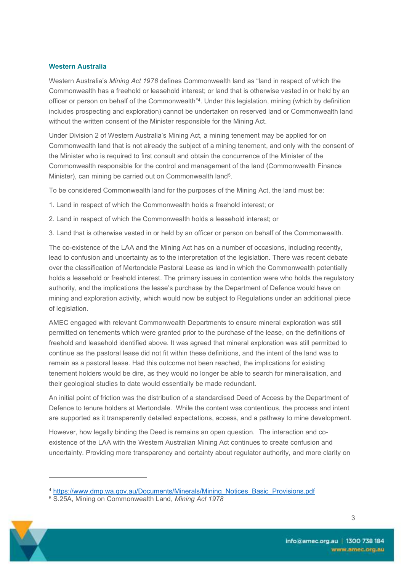# **Western Australia**

Western Australia's *Mining Act 1978* defines Commonwealth land as "land in respect of which the Commonwealth has a freehold or leasehold interest; or land that is otherwise vested in or held by an officer or person on behalf of the Commonwealth"<sup>4</sup> . Under this legislation, mining (which by definition includes prospecting and exploration) cannot be undertaken on reserved land or Commonwealth land without the written consent of the Minister responsible for the Mining Act.

Under Division 2 of Western Australia's Mining Act, a mining tenement may be applied for on Commonwealth land that is not already the subject of a mining tenement, and only with the consent of the Minister who is required to first consult and obtain the concurrence of the Minister of the Commonwealth responsible for the control and management of the land (Commonwealth Finance Minister), can mining be carried out on Commonwealth land<sup>5</sup>.

To be considered Commonwealth land for the purposes of the Mining Act, the land must be:

1. Land in respect of which the Commonwealth holds a freehold interest; or

2. Land in respect of which the Commonwealth holds a leasehold interest; or

3. Land that is otherwise vested in or held by an officer or person on behalf of the Commonwealth.

The co-existence of the LAA and the Mining Act has on a number of occasions, including recently, lead to confusion and uncertainty as to the interpretation of the legislation. There was recent debate over the classification of Mertondale Pastoral Lease as land in which the Commonwealth potentially holds a leasehold or freehold interest. The primary issues in contention were who holds the regulatory authority, and the implications the lease's purchase by the Department of Defence would have on mining and exploration activity, which would now be subject to Regulations under an additional piece of legislation.

AMEC engaged with relevant Commonwealth Departments to ensure mineral exploration was still permitted on tenements which were granted prior to the purchase of the lease, on the definitions of freehold and leasehold identified above. It was agreed that mineral exploration was still permitted to continue as the pastoral lease did not fit within these definitions, and the intent of the land was to remain as a pastoral lease. Had this outcome not been reached, the implications for existing tenement holders would be dire, as they would no longer be able to search for mineralisation, and their geological studies to date would essentially be made redundant.

An initial point of friction was the distribution of a standardised Deed of Access by the Department of Defence to tenure holders at Mertondale. While the content was contentious, the process and intent are supported as it transparently detailed expectations, access, and a pathway to mine development.

However, how legally binding the Deed is remains an open question. The interaction and coexistence of the LAA with the Western Australian Mining Act continues to create confusion and uncertainty. Providing more transparency and certainty about regulator authority, and more clarity on

<sup>5</sup> S.25A, Mining on Commonwealth Land, *Mining Act 1978*



<sup>4</sup> [https://www.dmp.wa.gov.au/Documents/Minerals/Mining\\_Notices\\_Basic\\_Provisions.pdf](https://www.dmp.wa.gov.au/Documents/Minerals/Mining_Notices_Basic_Provisions.pdf)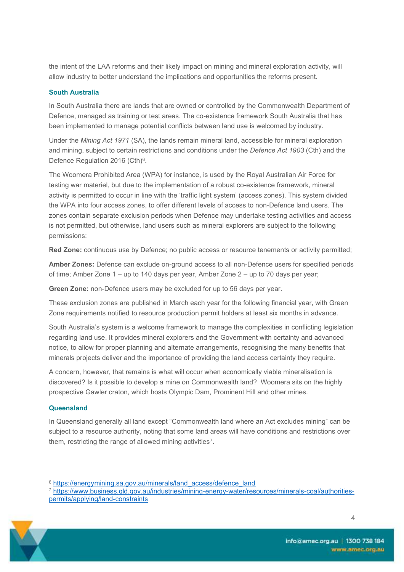the intent of the LAA reforms and their likely impact on mining and mineral exploration activity, will allow industry to better understand the implications and opportunities the reforms present.

# **South Australia**

In South Australia there are lands that are owned or controlled by the Commonwealth Department of Defence, managed as training or test areas. The co-existence framework South Australia that has been implemented to manage potential conflicts between land use is welcomed by industry.

Under the *Mining Act 1971* (SA), the lands remain mineral land, accessible for mineral exploration and mining, subject to certain restrictions and conditions under the *Defence Act 1903* (Cth) and the Defence Regulation 2016 (Cth) $6$ .

The Woomera Prohibited Area (WPA) for instance, is used by the Royal Australian Air Force for testing war materiel, but due to the implementation of a robust co-existence framework, mineral activity is permitted to occur in line with the 'traffic light system' (access zones). This system divided the WPA into four access zones, to offer different levels of access to non-Defence land users. The zones contain separate exclusion periods when Defence may undertake testing activities and access is not permitted, but otherwise, land users such as mineral explorers are subject to the following permissions:

**Red Zone:** continuous use by Defence; no public access or resource tenements or activity permitted;

**Amber Zones:** Defence can exclude on-ground access to all non-Defence users for specified periods of time; Amber Zone 1 – up to 140 days per year, Amber Zone 2 – up to 70 days per year;

**Green Zone:** non-Defence users may be excluded for up to 56 days per year.

These exclusion zones are published in March each year for the following financial year, with Green Zone requirements notified to resource production permit holders at least six months in advance.

South Australia's system is a welcome framework to manage the complexities in conflicting legislation regarding land use. It provides mineral explorers and the Government with certainty and advanced notice, to allow for proper planning and alternate arrangements, recognising the many benefits that minerals projects deliver and the importance of providing the land access certainty they require.

A concern, however, that remains is what will occur when economically viable mineralisation is discovered? Is it possible to develop a mine on Commonwealth land? Woomera sits on the highly prospective Gawler craton, which hosts Olympic Dam, Prominent Hill and other mines.

## **Queensland**

In Queensland generally all land except "Commonwealth land where an Act excludes mining" can be subject to a resource authority, noting that some land areas will have conditions and restrictions over them, restricting the range of allowed mining activities<sup>7</sup>.

<sup>7</sup> [https://www.business.qld.gov.au/industries/mining-energy-water/resources/minerals-coal/authorities](https://www.business.qld.gov.au/industries/mining-energy-water/resources/minerals-coal/authorities-permits/applying/land-constraints)[permits/applying/land-constraints](https://www.business.qld.gov.au/industries/mining-energy-water/resources/minerals-coal/authorities-permits/applying/land-constraints)



<sup>&</sup>lt;sup>6</sup> [https://energymining.sa.gov.au/minerals/land\\_access/defence\\_land](https://energymining.sa.gov.au/minerals/land_access/defence_land)